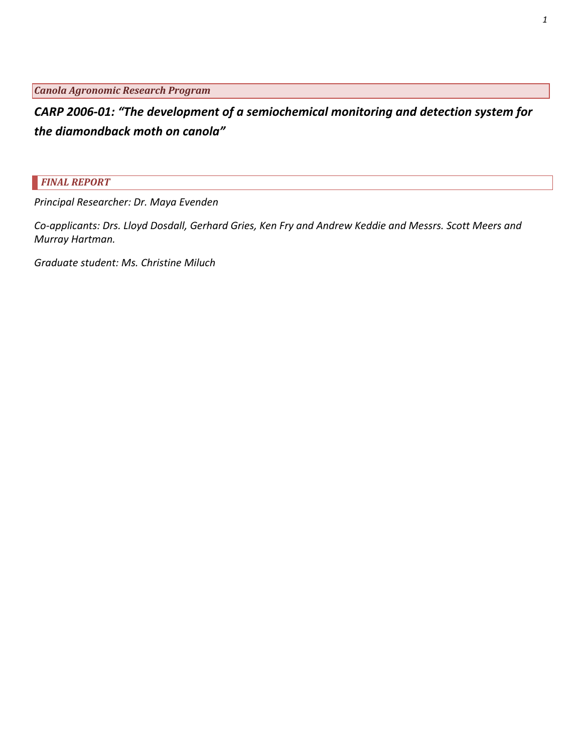*Canola Agronomic Research Program*

*CARP 2006‐01: "The development of a semiochemical monitoring and detection system for the diamondback moth on canola"*

*FINAL REPORT*

*Principal Researcher: Dr. Maya Evenden*

Co-applicants: Drs. Lloyd Dosdall, Gerhard Gries, Ken Fry and Andrew Keddie and Messrs. Scott Meers and *Murray Hartman.*

*Graduate student: Ms. Christine Miluch*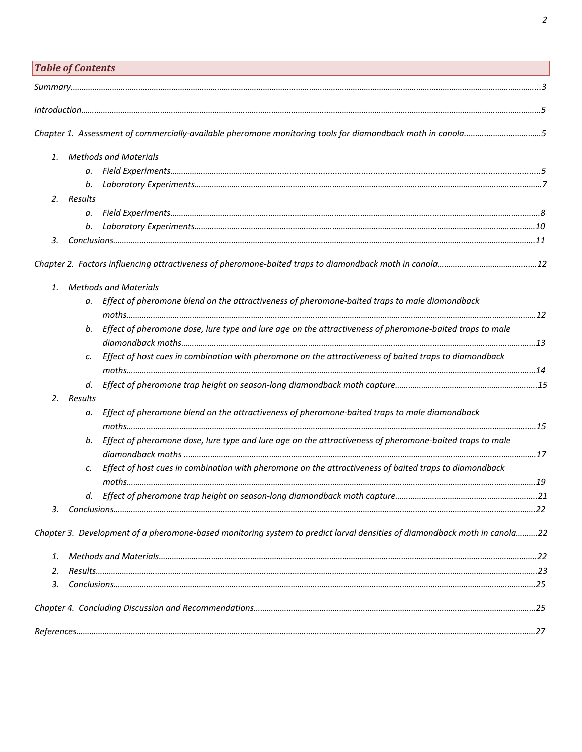|    | <b>Table of Contents</b> |                                                                                                                           |  |
|----|--------------------------|---------------------------------------------------------------------------------------------------------------------------|--|
|    |                          |                                                                                                                           |  |
|    |                          |                                                                                                                           |  |
|    |                          |                                                                                                                           |  |
|    |                          | Chapter 1. Assessment of commercially-available pheromone monitoring tools for diamondback moth in canola5                |  |
| 1. |                          | <b>Methods and Materials</b>                                                                                              |  |
|    | а.                       |                                                                                                                           |  |
|    | b.                       |                                                                                                                           |  |
| 2. | Results                  |                                                                                                                           |  |
|    | а.                       |                                                                                                                           |  |
|    |                          |                                                                                                                           |  |
| 3. |                          |                                                                                                                           |  |
|    |                          |                                                                                                                           |  |
| 1. |                          | <b>Methods and Materials</b>                                                                                              |  |
|    | а.                       | Effect of pheromone blend on the attractiveness of pheromone-baited traps to male diamondback                             |  |
|    | b.                       | Effect of pheromone dose, lure type and lure age on the attractiveness of pheromone-baited traps to male                  |  |
|    |                          |                                                                                                                           |  |
|    | c.                       | Effect of host cues in combination with pheromone on the attractiveness of baited traps to diamondback                    |  |
|    | d.                       |                                                                                                                           |  |
| 2. | Results                  |                                                                                                                           |  |
|    | а.                       | Effect of pheromone blend on the attractiveness of pheromone-baited traps to male diamondback                             |  |
|    |                          |                                                                                                                           |  |
|    | b.                       | Effect of pheromone dose, lure type and lure age on the attractiveness of pheromone-baited traps to male                  |  |
|    |                          |                                                                                                                           |  |
|    | c.                       | Effect of host cues in combination with pheromone on the attractiveness of baited traps to diamondback                    |  |
|    |                          |                                                                                                                           |  |
|    | d.                       |                                                                                                                           |  |
| 3. |                          |                                                                                                                           |  |
|    |                          | Chapter 3. Development of a pheromone-based monitoring system to predict larval densities of diamondback moth in canola22 |  |
| 1. |                          |                                                                                                                           |  |
| 2. |                          |                                                                                                                           |  |
| 3. |                          |                                                                                                                           |  |
|    |                          |                                                                                                                           |  |
|    |                          |                                                                                                                           |  |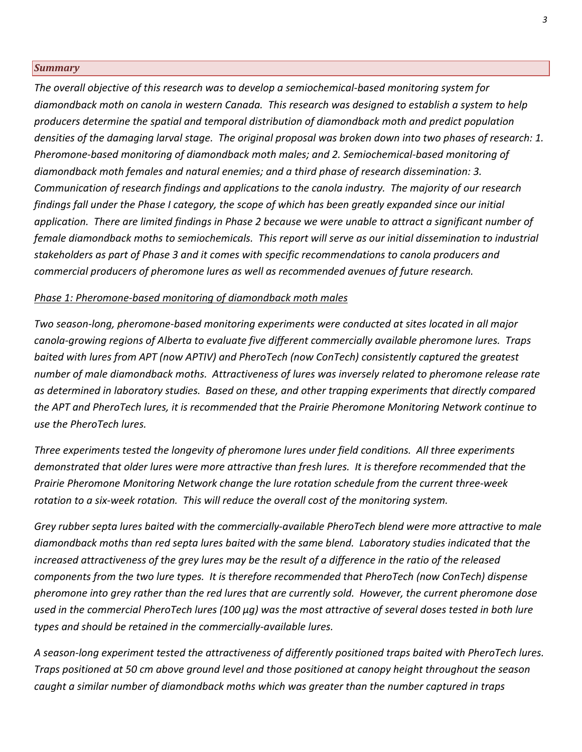### *Summary*

*The overall objective of this research was to develop a semiochemical‐based monitoring system for* diamondback moth on canola in western Canada. This research was designed to establish a system to help *producers determine the spatial and temporal distribution of diamondback moth and predict population* densities of the damaging larval stage. The original proposal was broken down into two phases of research: 1. *Pheromone‐based monitoring of diamondback moth males; and 2. Semiochemical‐based monitoring of diamondback moth females and natural enemies; and a third phase of research dissemination: 3. Communication of research findings and applications to the canola industry. The majority of our research* findings fall under the Phase I category, the scope of which has been greatly expanded since our initial application. There are limited findings in Phase 2 because we were unable to attract a significant number of *female diamondback moths to semiochemicals. This report will serve as our initial dissemination to industrial stakeholders as part of Phase 3 and it comes with specific recommendations to canola producers and commercial producers of pheromone lures as well as recommended avenues of future research.*

### *Phase 1: Pheromone‐based monitoring of diamondback moth males*

*Two season‐long, pheromone‐based monitoring experiments were conducted at sites located in all major canola‐growing regions of Alberta to evaluate five different commercially available pheromone lures. Traps baited with lures from APT (now APTIV) and PheroTech (now ConTech) consistently captured the greatest number of male diamondback moths. Attractiveness of lures was inversely related to pheromone release rate as determined in laboratory studies. Based on these, and other trapping experiments that directly compared the APT and PheroTech lures, it is recommended that the Prairie Pheromone Monitoring Network continue to use the PheroTech lures.*

*Three experiments tested the longevity of pheromone lures under field conditions. All three experiments* demonstrated that older lures were more attractive than fresh lures. It is therefore recommended that the *Prairie Pheromone Monitoring Network change the lure rotation schedule from the current three‐week rotation to a six‐week rotation. This will reduce the overall cost of the monitoring system.*

Grey rubber septa lures baited with the commercially-available PheroTech blend were more attractive to male *diamondback moths than red septa lures baited with the same blend. Laboratory studies indicated that the* increased attractiveness of the grey lures may be the result of a difference in the ratio of the released *components from the two lure types. It is therefore recommended that PheroTech (now ConTech) dispense* pheromone into grey rather than the red lures that are currently sold. However, the current pheromone dose used in the commercial PheroTech lures (100 µg) was the most attractive of several doses tested in both lure *types and should be retained in the commercially‐available lures.*

A season-long experiment tested the attractiveness of differently positioned traps baited with PheroTech lures. *Traps positioned at 50 cm above ground level and those positioned at canopy height throughout the season caught a similar number of diamondback moths which was greater than the number captured in traps*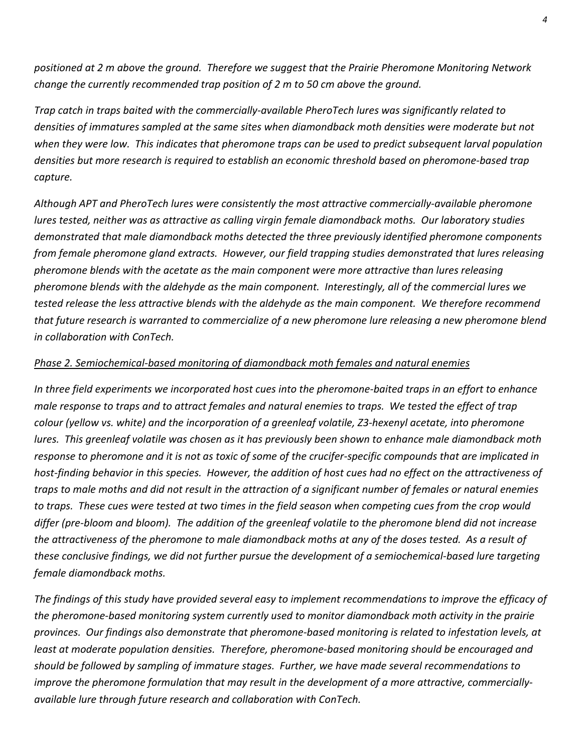*positioned at 2 m above the ground. Therefore we suggest that the Prairie Pheromone Monitoring Network change the currently recommended trap position of 2 m to 50 cm above the ground.*

*Trap catch in traps baited with the commercially‐available PheroTech lures was significantly related to densities of immatures sampled at the same sites when diamondback moth densities were moderate but not* when they were low. This indicates that pheromone traps can be used to predict subsequent larval population *densities but more research is required to establish an economic threshold based on pheromone‐based trap capture.*

*Although APT and PheroTech lures were consistently the most attractive commercially‐available pheromone lures tested, neither was as attractive as calling virgin female diamondback moths. Our laboratory studies demonstrated that male diamondback moths detected the three previously identified pheromone components from female pheromone gland extracts. However, our field trapping studies demonstrated that lures releasing pheromone blends with the acetate as the main component were more attractive than lures releasing pheromone blends with the aldehyde as the main component. Interestingly, all of the commercial lures we* tested release the less attractive blends with the aldehyde as the main component. We therefore recommend that future research is warranted to commercialize of a new pheromone lure releasing a new pheromone blend *in collaboration with ConTech.*

# *Phase 2. Semiochemical‐based monitoring of diamondback moth females and natural enemies*

In three field experiments we incorporated host cues into the pheromone-baited traps in an effort to enhance male response to traps and to attract females and natural enemies to traps. We tested the effect of trap colour (yellow vs. white) and the incorporation of a greenleaf volatile, Z3-hexenyl acetate, into pheromone lures. This greenleaf volatile was chosen as it has previously been shown to enhance male diamondback moth response to pheromone and it is not as toxic of some of the crucifer-specific compounds that are implicated in host-finding behavior in this species. However, the addition of host cues had no effect on the attractiveness of traps to male moths and did not result in the attraction of a significant number of females or natural enemies to traps. These cues were tested at two times in the field season when competing cues from the crop would differ (pre-bloom and bloom). The addition of the greenleaf volatile to the pheromone blend did not increase the attractiveness of the pheromone to male diamondback moths at any of the doses tested. As a result of these conclusive findings, we did not further pursue the development of a semiochemical-based lure targeting *female diamondback moths.*

The findings of this study have provided several easy to implement recommendations to improve the efficacy of *the pheromone‐based monitoring system currently used to monitor diamondback moth activity in the prairie* provinces. Our findings also demonstrate that pheromone-based monitoring is related to infestation levels, at *least at moderate population densities. Therefore, pheromone‐based monitoring should be encouraged and should be followed by sampling of immature stages. Further, we have made several recommendations to improve the pheromone formulation that may result in the development of a more attractive, commercially‐ available lure through future research and collaboration with ConTech.*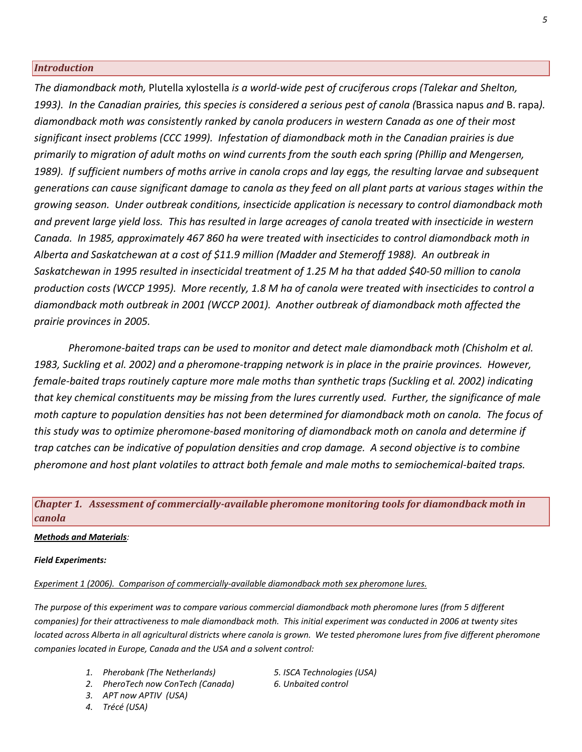### *Introduction*

*The diamondback moth,* Plutella xylostella *is a world‐wide pest of cruciferous crops (Talekar and Shelton,* 1993). In the Canadian prairies, this species is considered a serious pest of canola (Brassica napus and B. rapa). *diamondback moth was consistently ranked by canola producers in western Canada as one of their most significant insect problems (CCC 1999). Infestation of diamondback moth in the Canadian prairies is due primarily to migration of adult moths on wind currents from the south each spring (Phillip and Mengersen,* 1989). If sufficient numbers of moths arrive in canola crops and lay eggs, the resulting larvae and subsequent generations can cause significant damage to canola as they feed on all plant parts at various stages within the *growing season. Under outbreak conditions, insecticide application is necessary to control diamondback moth* and prevent large yield loss. This has resulted in large acreages of canola treated with insecticide in western *Canada. In 1985, approximately 467 860 ha were treated with insecticides to control diamondback moth in Alberta and Saskatchewan at a cost of \$11.9 million (Madder and Stemeroff 1988). An outbreak in* Saskatchewan in 1995 resulted in insecticidal treatment of 1.25 M ha that added \$40-50 million to canola production costs (WCCP 1995). More recently, 1.8 M ha of canola were treated with insecticides to control a *diamondback moth outbreak in 2001 (WCCP 2001). Another outbreak of diamondback moth affected the prairie provinces in 2005.* 

 *Pheromone‐baited traps can be used to monitor and detect male diamondback moth (Chisholm et al.* 1983, Suckling et al. 2002) and a pheromone-trapping network is in place in the prairie provinces. However, female-baited traps routinely capture more male moths than synthetic traps (Suckling et al. 2002) indicating that key chemical constituents may be missing from the lures currently used. Further, the significance of male moth capture to population densities has not been determined for diamondback moth on canola. The focus of *this study was to optimize pheromone‐based monitoring of diamondback moth on canola and determine if* trap catches can be indicative of population densities and crop damage. A second objective is to combine *pheromone and host plant volatiles to attract both female and male moths to semiochemical‐baited traps.*

# *Chapter 1. Assessment of commerciallyavailable pheromone monitoring tools for diamondback moth in canola*

### *Methods and Materials:*

### *Field Experiments:*

*Experiment 1 (2006). Comparison of commercially‐available diamondback moth sex pheromone lures.*

The purpose of this experiment was to compare various commercial diamondback moth pheromone lures (from 5 different companies) for their attractiveness to male diamondback moth. This initial experiment was conducted in 2006 at twenty sites located across Alberta in all agricultural districts where canola is grown. We tested pheromone lures from five different pheromone *companies located in Europe, Canada and the USA and a solvent control:*

- *1. Pherobank (The Netherlands) 5. ISCA Technologies (USA)*
- *2. PheroTech now ConTech (Canada) 6. Unbaited control*
- *3. APT now APTIV (USA)*
- *4. Trécé (USA)*
- 
-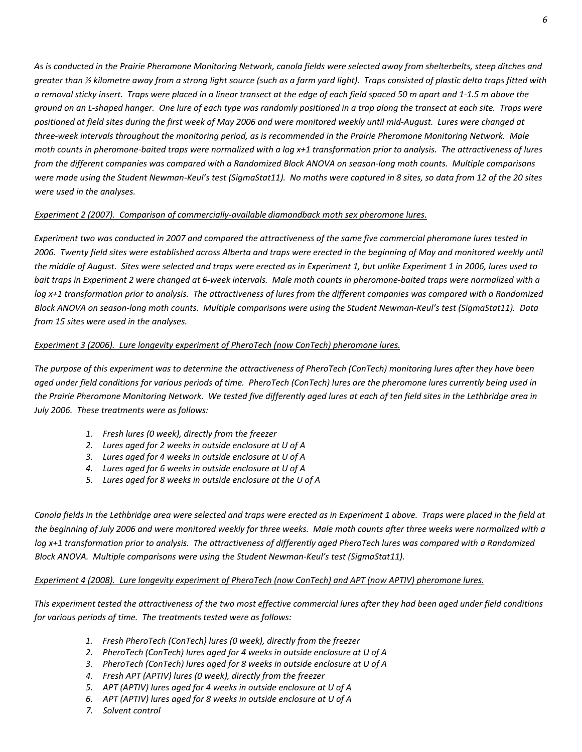As is conducted in the Prairie Pheromone Monitoring Network, canola fields were selected away from shelterbelts, steep ditches and greater than 1/2 kilometre away from a strong light source (such as a farm yard light). Traps consisted of plastic delta traps fitted with a removal sticky insert. Traps were placed in a linear transect at the edge of each field spaced 50 m apart and 1-1.5 m above the ground on an L-shaped hanger. One lure of each type was randomly positioned in a trap along the transect at each site. Traps were positioned at field sites during the first week of May 2006 and were monitored weekly until mid-August. Lures were changed at three-week intervals throughout the monitoring period, as is recommended in the Prairie Pheromone Monitoring Network. Male moth counts in pheromone-baited traps were normalized with a log x+1 transformation prior to analysis. The attractiveness of lures from the different companies was compared with a Randomized Block ANOVA on season-long moth counts. Multiple comparisons were made using the Student Newman-Keul's test (SigmaStat11). No moths were captured in 8 sites, so data from 12 of the 20 sites *were used in the analyses.*

### *Experiment 2 (2007). Comparison of commercially‐available diamondback moth sex pheromone lures.*

Experiment two was conducted in 2007 and compared the attractiveness of the same five commercial pheromone lures tested in 2006. Twenty field sites were established across Alberta and traps were erected in the beginning of May and monitored weekly until the middle of August. Sites were selected and traps were erected as in Experiment 1, but unlike Experiment 1 in 2006, lures used to bait traps in Experiment 2 were changed at 6-week intervals. Male moth counts in pheromone-baited traps were normalized with a log x+1 transformation prior to analysis. The attractiveness of lures from the different companies was compared with a Randomized Block ANOVA on season-long moth counts. Multiple comparisons were using the Student Newman-Keul's test (SigmaStat11). Data *from 15 sites were used in the analyses.* 

### *Experiment 3 (2006). Lure longevity experiment of PheroTech (now ConTech) pheromone lures.*

The purpose of this experiment was to determine the attractiveness of PheroTech (ConTech) monitoring lures after they have been aged under field conditions for various periods of time. PheroTech (ConTech) lures are the pheromone lures currently being used in the Prairie Pheromone Monitoring Network. We tested five differently aged lures at each of ten field sites in the Lethbridge area in *July 2006. These treatments were as follows:*

- *1. Fresh lures (0 week), directly from the freezer*
- *2. Lures aged for 2 weeks in outside enclosure at U of A*
- *3. Lures aged for 4 weeks in outside enclosure at U of A*
- *4. Lures aged for 6 weeks in outside enclosure at U of A*
- *5. Lures aged for 8 weeks in outside enclosure at the U of A*

Canola fields in the Lethbridge area were selected and traps were erected as in Experiment 1 above. Traps were placed in the field at the beginning of July 2006 and were monitored weekly for three weeks. Male moth counts after three weeks were normalized with a log x+1 transformation prior to analysis. The attractiveness of differently aged PheroTech lures was compared with a Randomized *Block ANOVA. Multiple comparisons were using the Student Newman‐Keul's test (SigmaStat11).*

### Experiment 4 (2008). Lure longevity experiment of PheroTech (now ConTech) and APT (now APTIV) pheromone lures.

This experiment tested the attractiveness of the two most effective commercial lures after they had been aged under field conditions *for various periods of time. The treatments tested were as follows:*

- *1. Fresh PheroTech (ConTech) lures (0 week), directly from the freezer*
- *2. PheroTech (ConTech) lures aged for 4 weeks in outside enclosure at U of A*
- *3. PheroTech (ConTech) lures aged for 8 weeks in outside enclosure at U of A*
- *4. Fresh APT (APTIV) lures (0 week), directly from the freezer*
- *5. APT (APTIV) lures aged for 4 weeks in outside enclosure at U of A*
- *6. APT (APTIV) lures aged for 8 weeks in outside enclosure at U of A*
- *7. Solvent control*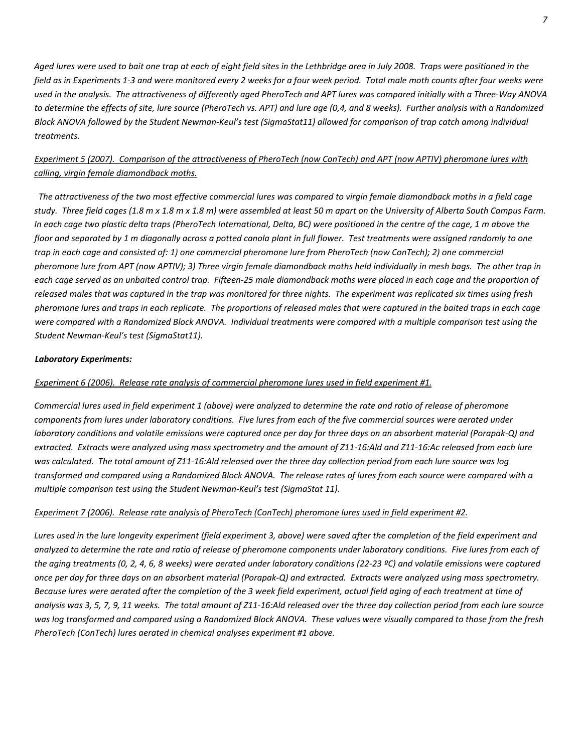Aged lures were used to bait one trap at each of eight field sites in the Lethbridge area in July 2008. Traps were positioned in the field as in Experiments 1-3 and were monitored every 2 weeks for a four week period. Total male moth counts after four weeks were used in the analysis. The attractiveness of differently aged PheroTech and APT lures was compared initially with a Three-Way ANOVA to determine the effects of site, lure source (PheroTech vs. APT) and lure age (0,4, and 8 weeks). Further analysis with a Randomized Block ANOVA followed by the Student Newman-Keul's test (SigmaStat11) allowed for comparison of trap catch among individual *treatments.*

# Experiment 5 (2007). Comparison of the attractiveness of PheroTech (now ConTech) and APT (now APTIV) pheromone lures with *calling, virgin female diamondback moths.*

The attractiveness of the two most effective commercial lures was compared to virgin female diamondback moths in a field cage study. Three field cages (1.8 m x 1.8 m x 1.8 m) were assembled at least 50 m apart on the University of Alberta South Campus Farm. In each cage two plastic delta traps (PheroTech International, Delta, BC) were positioned in the centre of the cage, 1 m above the floor and separated by 1 m diagonally across a potted canola plant in full flower. Test treatments were assigned randomly to one trap in each cage and consisted of: 1) one commercial pheromone lure from PheroTech (now ConTech); 2) one commercial pheromone lure from APT (now APTIV); 3) Three virgin female diamondback moths held individually in mesh bags. The other trap in each cage served as an unbaited control trap. Fifteen-25 male diamondback moths were placed in each cage and the proportion of released males that was captured in the trap was monitored for three nights. The experiment was replicated six times using fresh pheromone lures and traps in each replicate. The proportions of released males that were captured in the baited traps in each cage were compared with a Randomized Block ANOVA. Individual treatments were compared with a multiple comparison test using the *Student Newman‐Keul's test (SigmaStat11).*

### *Laboratory Experiments:*

### *Experiment 6 (2006). Release rate analysis of commercial pheromone lures used in field experiment #1.*

Commercial lures used in field experiment 1 (above) were analyzed to determine the rate and ratio of release of pheromone components from lures under laboratory conditions. Five lures from each of the five commercial sources were aerated under laboratory conditions and volatile emissions were captured once per day for three days on an absorbent material (Porapak-Q) and extracted. Extracts were analyzed using mass spectrometry and the amount of Z11-16:Ald and Z11-16:Ac released from each lure was calculated. The total amount of Z11-16:Ald released over the three day collection period from each lure source was log transformed and compared using a Randomized Block ANOVA. The release rates of lures from each source were compared with a *multiple comparison test using the Student Newman‐Keul's test (SigmaStat 11).* 

### Experiment 7 (2006). Release rate analysis of PheroTech (ConTech) pheromone lures used in field experiment #2.

Lures used in the lure longevity experiment (field experiment 3, above) were saved after the completion of the field experiment and analyzed to determine the rate and ratio of release of pheromone components under laboratory conditions. Five lures from each of the aging treatments (0, 2, 4, 6, 8 weeks) were aerated under laboratory conditions (22-23 °C) and volatile emissions were captured once per day for three days on an absorbent material (Porapak-Q) and extracted. Extracts were analyzed using mass spectrometry. Because lures were aerated after the completion of the 3 week field experiment, actual field aging of each treatment at time of analysis was 3, 5, 7, 9, 11 weeks. The total amount of Z11-16:Ald released over the three day collection period from each lure source was log transformed and compared using a Randomized Block ANOVA. These values were visually compared to those from the fresh *PheroTech (ConTech) lures aerated in chemical analyses experiment #1 above.*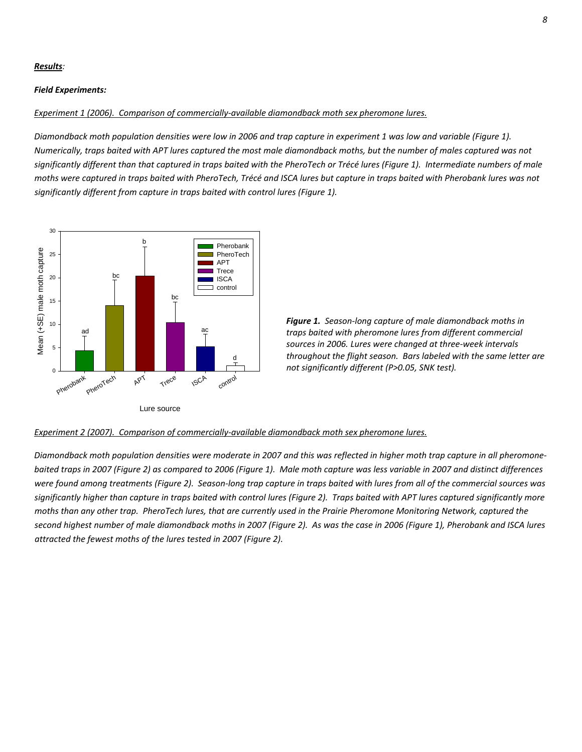### *Results:*

#### *Field Experiments:*

#### *Experiment 1 (2006). Comparison of commercially‐available diamondback moth sex pheromone lures.*

Diamondback moth population densities were low in 2006 and trap capture in experiment 1 was low and variable (Figure 1). Numerically, traps baited with APT lures captured the most male diamondback moths, but the number of males captured was not significantly different than that captured in traps baited with the PheroTech or Trécé lures (Figure 1). Intermediate numbers of male moths were captured in traps baited with PheroTech, Trécé and ISCA lures but capture in traps baited with Pherobank lures was not *significantly different from capture in traps baited with control lures (Figure 1).* 



*Figure 1. Season‐long capture of male diamondback moths in traps baited with pheromone lures from different commercial sources in 2006. Lures were changed at three‐week intervals throughout the flight season. Bars labeled with the same letter are not significantly different (P>0.05, SNK test).*

#### *Experiment 2 (2007). Comparison of commercially‐available diamondback moth sex pheromone lures.*

Diamondback moth population densities were moderate in 2007 and this was reflected in higher moth trap capture in all pheromonebaited traps in 2007 (Figure 2) as compared to 2006 (Figure 1). Male moth capture was less variable in 2007 and distinct differences were found among treatments (Figure 2). Season-long trap capture in traps baited with lures from all of the commercial sources was significantly higher than capture in traps baited with control lures (Figure 2). Traps baited with APT lures captured significantly more moths than any other trap. PheroTech lures, that are currently used in the Prairie Pheromone Monitoring Network, captured the second highest number of male diamondback moths in 2007 (Figure 2). As was the case in 2006 (Figure 1), Pherobank and ISCA lures *attracted the fewest moths of the lures tested in 2007 (Figure 2).*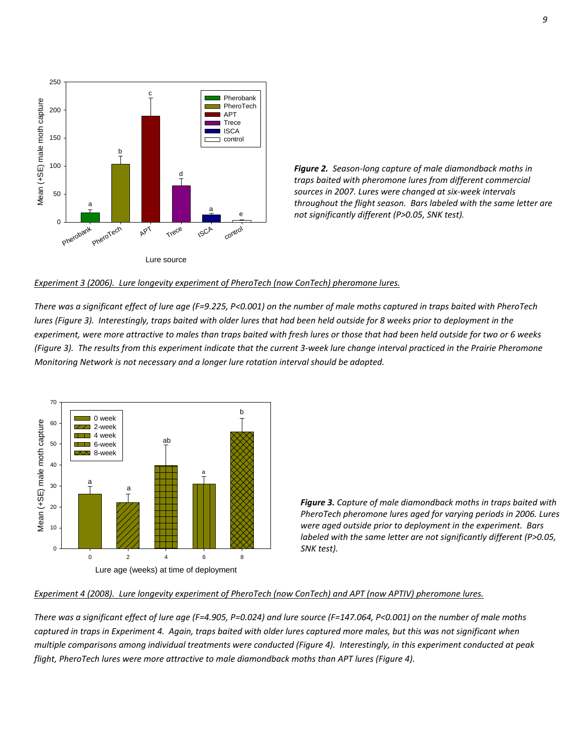

*Figure 2. Season‐long capture of male diamondback moths in traps baited with pheromone lures from different commercial sources in 2007. Lures were changed at six‐week intervals throughout the flight season. Bars labeled with the same letter are not significantly different (P>0.05, SNK test).*

#### *Experiment 3 (2006). Lure longevity experiment of PheroTech (now ConTech) pheromone lures.*

There was a significant effect of lure age (F=9.225, P<0.001) on the number of male moths captured in traps baited with PheroTech lures (Figure 3). Interestingly, traps baited with older lures that had been held outside for 8 weeks prior to deployment in the experiment, were more attractive to males than traps baited with fresh lures or those that had been held outside for two or 6 weeks (Figure 3). The results from this experiment indicate that the current 3-week lure change interval practiced in the Prairie Pheromone *Monitoring Network is not necessary and a longer lure rotation interval should be adopted.*



*Figure 3. Capture of male diamondback moths in traps baited with PheroTech pheromone lures aged for varying periods in 2006. Lures were aged outside prior to deployment in the experiment. Bars labeled with the same letter are not significantly different (P>0.05, SNK test).*

#### Experiment 4 (2008). Lure longevity experiment of PheroTech (now ConTech) and APT (now APTIV) pheromone lures.

There was a significant effect of lure age (F=4.905, P=0.024) and lure source (F=147.064, P<0.001) on the number of male moths captured in traps in Experiment 4. Again, traps baited with older lures captured more males, but this was not significant when multiple comparisons among individual treatments were conducted (Figure 4). Interestingly, in this experiment conducted at peak *flight, PheroTech lures were more attractive to male diamondback moths than APT lures (Figure 4).*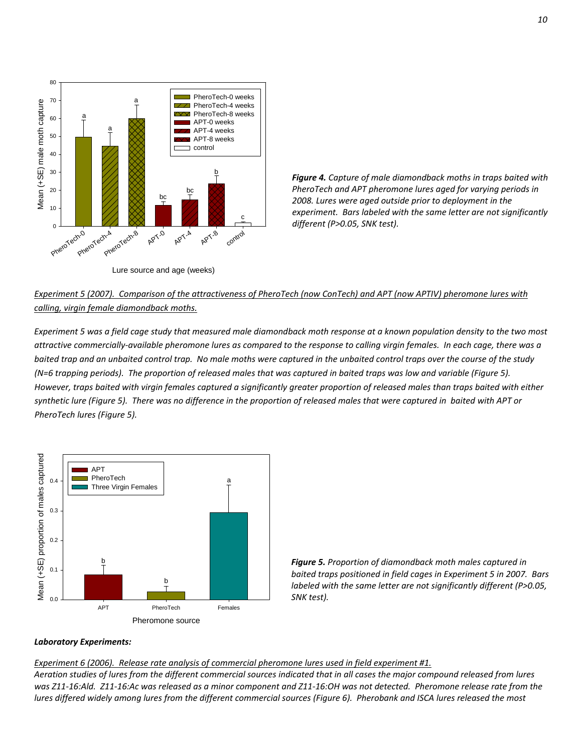

*Figure 4. Capture of male diamondback moths in traps baited with PheroTech and APT pheromone lures aged for varying periods in 2008. Lures were aged outside prior to deployment in the experiment. Bars labeled with the same letter are not significantly different (P>0.05, SNK test).*

# Experiment 5 (2007). Comparison of the attractiveness of PheroTech (now ConTech) and APT (now APTIV) pheromone lures with *calling, virgin female diamondback moths.*

Experiment 5 was a field cage study that measured male diamondback moth response at a known population density to the two most attractive commercially-available pheromone lures as compared to the response to calling virgin females. In each cage, there was a baited trap and an unbaited control trap. No male moths were captured in the unbaited control traps over the course of the study (N=6 trapping periods). The proportion of released males that was captured in baited traps was low and variable (Figure 5). However, traps baited with virgin females captured a significantly greater proportion of released males than traps baited with either synthetic lure (Figure 5). There was no difference in the proportion of released males that were captured in baited with APT or *PheroTech lures (Figure 5).*



*Figure 5. Proportion of diamondback moth males captured in baited traps positioned in field cages in Experiment 5 in 2007. Bars labeled with the same letter are not significantly different (P>0.05, SNK test).*

### *Laboratory Experiments:*

### *Experiment 6 (2006). Release rate analysis of commercial pheromone lures used in field experiment #1.*

Aeration studies of lures from the different commercial sources indicated that in all cases the major compound released from lures was Z11-16:Ald. Z11-16:Ac was released as a minor component and Z11-16:OH was not detected. Pheromone release rate from the lures differed widely among lures from the different commercial sources (Figure 6). Pherobank and ISCA lures released the most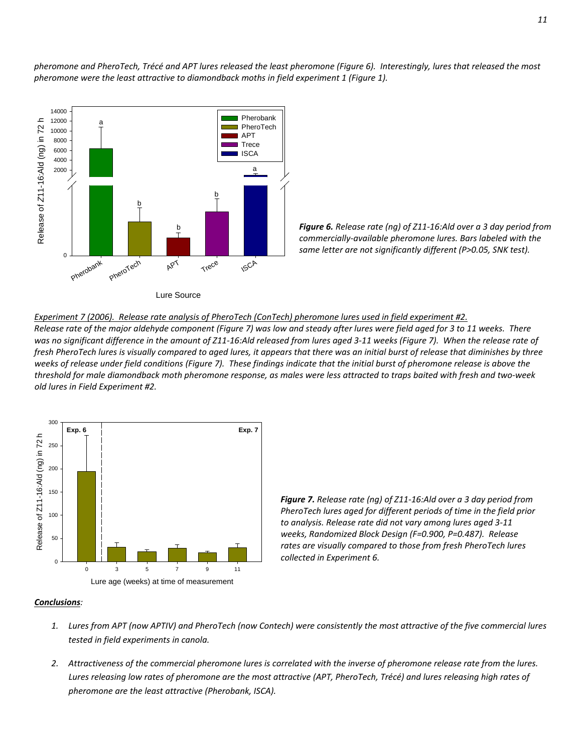pheromone and PheroTech, Trécé and APT lures released the least pheromone (Figure 6). Interestingly, lures that released the most *pheromone were the least attractive to diamondback moths in field experiment 1 (Figure 1).*



*Figure 6. Release rate (ng) of Z11‐16:Ald over a 3 day period from commercially‐available pheromone lures. Bars labeled with the same letter are not significantly different (P>0.05, SNK test).*



Release rate of the major aldehyde component (Figure 7) was low and steady after lures were field aged for 3 to 11 weeks. There was no significant difference in the amount of Z11-16:Ald released from lures aged 3-11 weeks (Figure 7). When the release rate of fresh PheroTech lures is visually compared to aged lures, it appears that there was an initial burst of release that diminishes by three weeks of release under field conditions (Figure 7). These findings indicate that the initial burst of pheromone release is above the threshold for male diamondback moth pheromone response, as males were less attracted to traps baited with fresh and two-week *old lures in Field Experiment #2.* 



*Figure 7. Release rate (ng) of Z11‐16:Ald over a 3 day period from PheroTech lures aged for different periods of time in the field prior to analysis. Release rate did not vary among lures aged 3‐11 weeks, Randomized Block Design (F=0.900, P=0.487). Release rates are visually compared to those from fresh PheroTech lures collected in Experiment 6.*

### *Conclusions:*

- 1. Lures from APT (now APTIV) and PheroTech (now Contech) were consistently the most attractive of the five commercial lures *tested in field experiments in canola.*
- 2. Attractiveness of the commercial pheromone lures is correlated with the inverse of pheromone release rate from the lures. Lures releasing low rates of pheromone are the most attractive (APT, PheroTech, Trécé) and lures releasing high rates of *pheromone are the least attractive (Pherobank, ISCA).*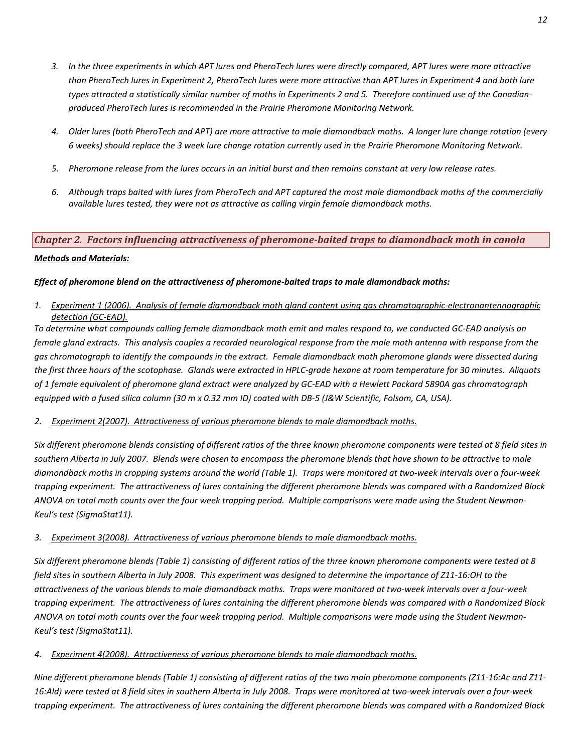- 3. In the three experiments in which APT lures and PheroTech lures were directly compared, APT lures were more attractive than PheroTech lures in Experiment 2, PheroTech lures were more attractive than APT lures in Experiment 4 and both lure types attracted a statistically similar number of moths in Experiments 2 and 5. Therefore continued use of the Canadian*produced PheroTech lures is recommended in the Prairie Pheromone Monitoring Network.*
- 4. Older lures (both PheroTech and APT) are more attractive to male diamondback moths. A longer lure change rotation (every 6 weeks) should replace the 3 week lure change rotation currently used in the Prairie Pheromone Monitoring Network.
- 5. Pheromone release from the lures occurs in an initial burst and then remains constant at very low release rates.
- 6. Although traps baited with lures from PheroTech and APT captured the most male diamondback moths of the commercially *available lures tested, they were not as attractive as calling virgin female diamondback moths.*

# *Chapter 2. Factors influencing attractiveness of pheromonebaited traps to diamondback moth in canola*

### *Methods and Materials:*

### *Effect of pheromone blend on the attractiveness of pheromone‐baited traps to male diamondback moths:*

1. Experiment 1 (2006). Analysis of female diamondback moth gland content using gas chromatographic-electronantennographic *detection (GC‐EAD).*

To determine what compounds calling female diamondback moth emit and males respond to, we conducted GC-EAD analysis on female gland extracts. This analysis couples a recorded neurological response from the male moth antenna with response from the gas chromatograph to identify the compounds in the extract. Female diamondback moth pheromone glands were dissected during the first three hours of the scotophase. Glands were extracted in HPLC-grade hexane at room temperature for 30 minutes. Aliquots of 1 female equivalent of pheromone gland extract were analyzed by GC-EAD with a Hewlett Packard 5890A gas chromatograph equipped with a fused silica column (30 m x 0.32 mm ID) coated with DB-5 (J&W Scientific, Folsom, CA, USA).

### *2. Experiment 2(2007). Attractiveness of various pheromone blends to male diamondback moths.*

Six different pheromone blends consisting of different ratios of the three known pheromone components were tested at 8 field sites in southern Alberta in July 2007. Blends were chosen to encompass the pheromone blends that have shown to be attractive to male diamondback moths in cropping systems around the world (Table 1). Traps were monitored at two-week intervals over a four-week trapping experiment. The attractiveness of lures containing the different pheromone blends was compared with a Randomized Block ANOVA on total moth counts over the four week trapping period. Multiple comparisons were made using the Student Newman-*Keul's test (SigmaStat11).* 

### *3. Experiment 3(2008). Attractiveness of various pheromone blends to male diamondback moths.*

Six different pheromone blends (Table 1) consisting of different ratios of the three known pheromone components were tested at 8 field sites in southern Alberta in July 2008. This experiment was designed to determine the importance of Z11-16:OH to the attractiveness of the various blends to male diamondback moths. Traps were monitored at two-week intervals over a four-week trapping experiment. The attractiveness of lures containing the different pheromone blends was compared with a Randomized Block ANOVA on total moth counts over the four week trapping period. Multiple comparisons were made using the Student Newman-*Keul's test (SigmaStat11).*

### *4. Experiment 4(2008). Attractiveness of various pheromone blends to male diamondback moths.*

Nine different pheromone blends (Table 1) consisting of different ratios of the two main pheromone components (Z11-16:Ac and Z11-16:Ald) were tested at 8 field sites in southern Alberta in July 2008. Traps were monitored at two-week intervals over a four-week trapping experiment. The attractiveness of lures containing the different pheromone blends was compared with a Randomized Block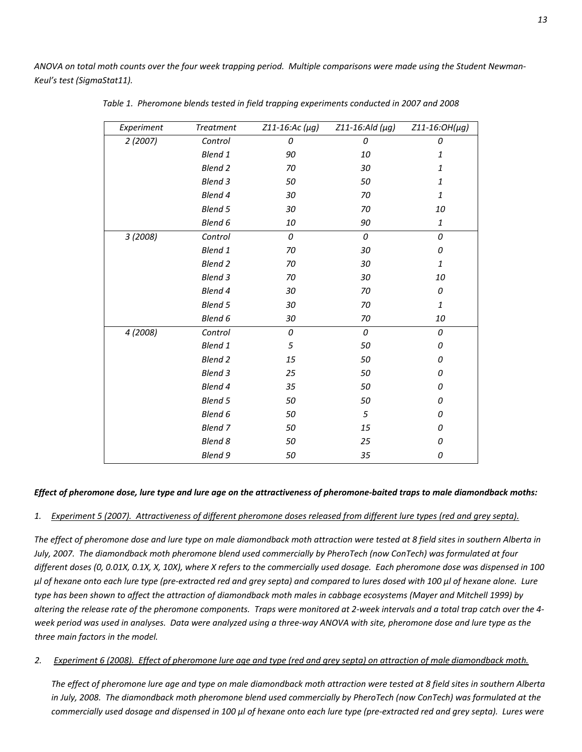ANOVA on total moth counts over the four week trapping period. Multiple comparisons were made using the Student Newman-*Keul's test (SigmaStat11).*

| Experiment | <b>Treatment</b> | $Z11 - 16$ : Ac ( $\mu$ g) | Z11-16:Ald (µg) | Z11-16:OH(µg)      |
|------------|------------------|----------------------------|-----------------|--------------------|
| 2(2007)    | Control          | 0                          | 0               | 0                  |
|            | Blend 1          | 90                         | 10              | 1                  |
|            | <b>Blend 2</b>   | 70                         | 30              | $\mathbf{1}% _{T}$ |
|            | <b>Blend 3</b>   | 50                         | 50              | 1                  |
|            | Blend 4          | 30                         | 70              | $\it 1$            |
|            | Blend 5          | 30                         | 70              | 10                 |
|            | Blend 6          | 10                         | 90              | 1                  |
| 3 (2008)   | Control          | 0                          | 0               | 0                  |
|            | Blend 1          | 70                         | 30              | 0                  |
|            | <b>Blend 2</b>   | 70                         | 30              | 1                  |
|            | <b>Blend 3</b>   | 70                         | 30              | 10                 |
|            | Blend 4          | 30                         | 70              | 0                  |
|            | <b>Blend 5</b>   | 30                         | 70              | $\mathbf{1}$       |
|            | Blend 6          | 30                         | 70              | 10                 |
| 4 (2008)   | Control          | 0                          | 0               | 0                  |
|            | Blend 1          | 5                          | 50              | 0                  |
|            | <b>Blend 2</b>   | 15                         | 50              | 0                  |
|            | <b>Blend 3</b>   | 25                         | 50              | 0                  |
|            | Blend 4          | 35                         | 50              | 0                  |
|            | <b>Blend 5</b>   | 50                         | 50              | 0                  |
|            | Blend 6          | 50                         | 5               | 0                  |
|            | Blend 7          | 50                         | 15              | 0                  |
|            | <b>Blend 8</b>   | 50                         | 25              | 0                  |
|            | Blend 9          | 50                         | 35              | 0                  |

 *Table 1. Pheromone blends tested in field trapping experiments conducted in 2007 and 2008*

### Effect of pheromone dose, lure type and lure age on the attractiveness of pheromone-baited traps to male diamondback moths:

### 1. Experiment 5 (2007). Attractiveness of different pheromone doses released from different lure types (red and grey septa).

The effect of pheromone dose and lure type on male diamondback moth attraction were tested at 8 field sites in southern Alberta in July, 2007. The diamondback moth pheromone blend used commercially by PheroTech (now ConTech) was formulated at four different doses (0, 0.01X, 0.1X, X, 10X), where X refers to the commercially used dosage. Each pheromone dose was dispensed in 100 µl of hexane onto each lure type (pre-extracted red and grey septa) and compared to lures dosed with 100 µl of hexane alone. Lure type has been shown to affect the attraction of diamondback moth males in cabbage ecosystems (Mayer and Mitchell 1999) by altering the release rate of the pheromone components. Traps were monitored at 2-week intervals and a total trap catch over the 4week period was used in analyses. Data were analyzed using a three-way ANOVA with site, pheromone dose and lure type as the *three main factors in the model.*

### 2. Experiment 6 (2008). Effect of pheromone lure age and type (red and grey septa) on attraction of male diamondback moth.

The effect of pheromone lure age and type on male diamondback moth attraction were tested at 8 field sites in southern Alberta in July, 2008. The diamondback moth pheromone blend used commercially by PheroTech (now ConTech) was formulated at the commercially used dosage and dispensed in 100 µl of hexane onto each lure type (pre-extracted red and grey septa). Lures were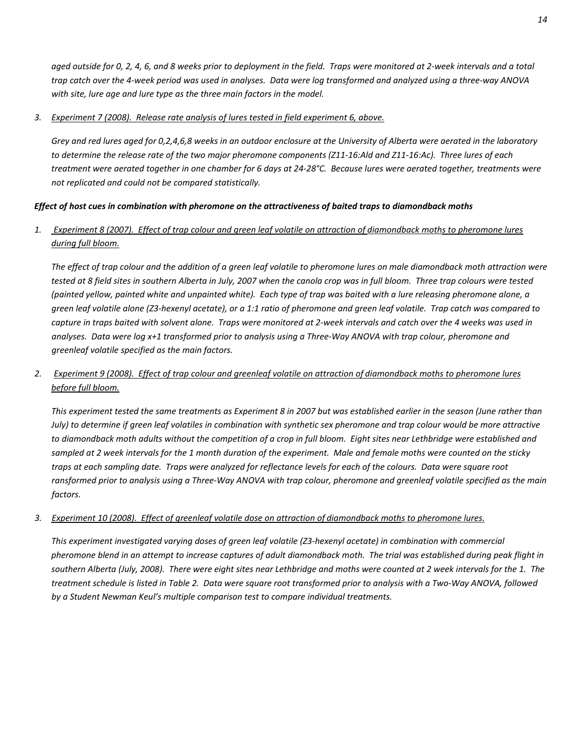aged outside for 0, 2, 4, 6, and 8 weeks prior to deployment in the field. Traps were monitored at 2-week intervals and a total trap catch over the 4-week period was used in analyses. Data were log transformed and analyzed using a three-way ANOVA *with site, lure age and lure type as the three main factors in the model.*

### *3. Experiment 7 (2008). Release rate analysis of lures tested in field experiment 6, above.*

Grey and red lures aged for 0,2,4,6,8 weeks in an outdoor enclosure at the University of Alberta were aerated in the laboratory to determine the release rate of the two major pheromone components (Z11-16:Ald and Z11-16:Ac). Three lures of each treatment were aerated together in one chamber for 6 days at 24-28°C. Because lures were aerated together, treatments were *not replicated and could not be compared statistically.*

### Effect of host cues in combination with pheromone on the attractiveness of baited traps to diamondback moths

### 1. Experiment 8 (2007). Effect of trap colour and green leaf volatile on attraction of diamondback moths to pheromone lures *during full bloom.*

The effect of trap colour and the addition of a green leaf volatile to pheromone lures on male diamondback moth attraction were tested at 8 field sites in southern Alberta in July, 2007 when the canola crop was in full bloom. Three trap colours were tested (painted yellow, painted white and unpainted white). Each type of trap was baited with a lure releasing pheromone alone, a green leaf volatile alone (Z3-hexenyl acetate), or a 1:1 ratio of pheromone and green leaf volatile. Trap catch was compared to capture in traps baited with solvent alone. Traps were monitored at 2-week intervals and catch over the 4 weeks was used in analyses. Data were log x+1 transformed prior to analysis using a Three-Way ANOVA with trap colour, pheromone and *greenleaf volatile specified as the main factors.*

# 2. Experiment 9 (2008). Effect of trap colour and greenleaf volatile on attraction of diamondback moths to pheromone lures *before full bloom.*

This experiment tested the same treatments as Experiment 8 in 2007 but was established earlier in the season (June rather than July) to determine if green leaf volatiles in combination with synthetic sex pheromone and trap colour would be more attractive to diamondback moth adults without the competition of a crop in full bloom. Eight sites near Lethbridge were established and sampled at 2 week intervals for the 1 month duration of the experiment. Male and female moths were counted on the sticky traps at each sampling date. Traps were analyzed for reflectance levels for each of the colours. Data were square root ransformed prior to analysis using a Three-Way ANOVA with trap colour, pheromone and greenleaf volatile specified as the main  $factors.$ 

### 3. Experiment 10 (2008). Effect of greenleaf volatile dose on attraction of diamondback moths to pheromone lures.

This experiment investigated varying doses of green leaf volatile (Z3-hexenyl acetate) in combination with commercial pheromone blend in an attempt to increase captures of adult diamondback moth. The trial was established during peak flight in southern Alberta (July, 2008). There were eight sites near Lethbridge and moths were counted at 2 week intervals for the 1. The treatment schedule is listed in Table 2. Data were square root transformed prior to analysis with a Two-Way ANOVA, followed *by a Student Newman Keul's multiple comparison test to compare individual treatments.*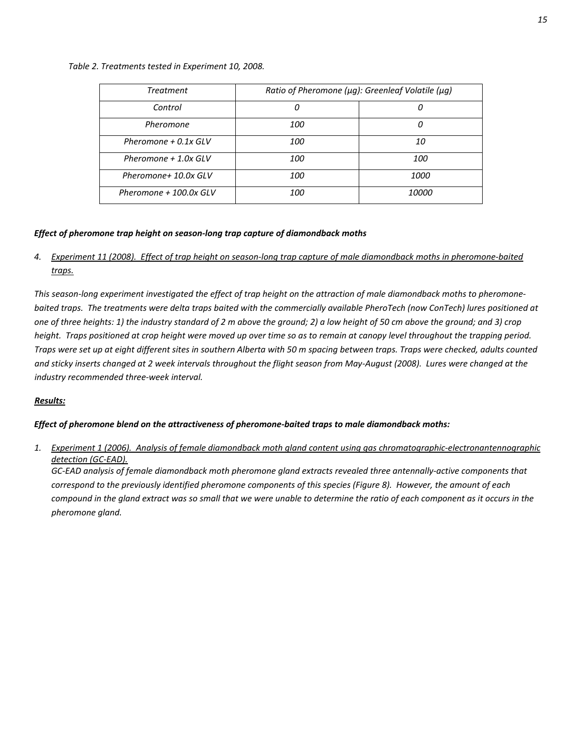### *Table 2. Treatments tested in Experiment 10, 2008.*

| <b>Treatment</b>        | Ratio of Pheromone (µg): Greenleaf Volatile (µg) |              |  |
|-------------------------|--------------------------------------------------|--------------|--|
| Control                 | 0                                                | 0            |  |
| Pheromone               | 100                                              |              |  |
| Pheromone $+$ 0.1x GLV  | <i>100</i>                                       | 10           |  |
| Pheromone $+1.0x$ GLV   | 100                                              | 100          |  |
| Pheromone+ 10.0x GLV    | 100                                              | 1000         |  |
| Pheromone $+100.0x$ GLV | 100                                              | <i>10000</i> |  |

### *Effect of pheromone trap height on season‐long trap capture of diamondback moths*

4. Experiment 11 (2008). Effect of trap height on season-long trap capture of male diamondback moths in pheromone-baited *traps.*

This season-long experiment investigated the effect of trap height on the attraction of male diamondback moths to pheromonebaited traps. The treatments were delta traps baited with the commercially available PheroTech (now ConTech) lures positioned at one of three heights: 1) the industry standard of 2 m above the ground; 2) a low height of 50 cm above the ground; and 3) crop height. Traps positioned at crop height were moved up over time so as to remain at canopy level throughout the trapping period. Traps were set up at eight different sites in southern Alberta with 50 m spacing between traps. Traps were checked, adults counted and sticky inserts changed at 2 week intervals throughout the flight season from May-August (2008). Lures were changed at the *industry recommended three‐week interval.*

### *Results:*

### *Effect of pheromone blend on the attractiveness of pheromone‐baited traps to male diamondback moths:*

1. Experiment 1 (2006). Analysis of female diamondback moth gland content using gas chromatographic-electronantennographic *detection (GC‐EAD).*

GC-EAD analysis of female diamondback moth pheromone gland extracts revealed three antennally-active components that correspond to the previously identified pheromone components of this species (Figure 8). However, the amount of each compound in the gland extract was so small that we were unable to determine the ratio of each component as it occurs in the *pheromone gland.*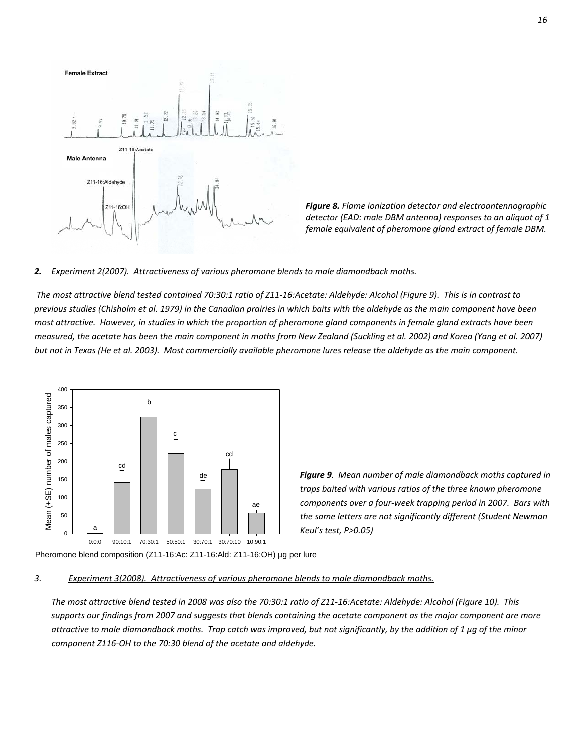

*Figure 8. Flame ionization detector and electroantennographic detector (EAD: male DBM antenna) responses to an aliquot of 1 female equivalent of pheromone gland extract of female DBM.*

### *2. Experiment 2(2007). Attractiveness of various pheromone blends to male diamondback moths.*

The most attractive blend tested contained 70:30:1 ratio of Z11-16:Acetate: Aldehyde: Alcohol (Figure 9). This is in contrast to previous studies (Chisholm et al. 1979) in the Canadian prairies in which baits with the aldehyde as the main component have been most attractive. However, in studies in which the proportion of pheromone gland components in female gland extracts have been measured, the acetate has been the main component in moths from New Zealand (Suckling et al. 2002) and Korea (Yang et al. 2007) but not in Texas (He et al. 2003). Most commercially available pheromone lures release the aldehyde as the main component.



*Figure 9. Mean number of male diamondback moths captured in traps baited with various ratios of the three known pheromone components over a four‐week trapping period in 2007. Bars with the same letters are not significantly different (Student Newman Keul's test, P>0.05)*

Pheromone blend composition (Z11-16:Ac: Z11-16:Ald: Z11-16:OH) µg per lure

### *3. Experiment 3(2008). Attractiveness of various pheromone blends to male diamondback moths.*

The most attractive blend tested in 2008 was also the 70:30:1 ratio of Z11-16:Acetate: Aldehyde: Alcohol (Figure 10). This supports our findings from 2007 and suggests that blends containing the acetate component as the major component are more attractive to male diamondback moths. Trap catch was improved, but not significantly, by the addition of 1 µg of the minor *component Z116‐OH to the 70:30 blend of the acetate and aldehyde.*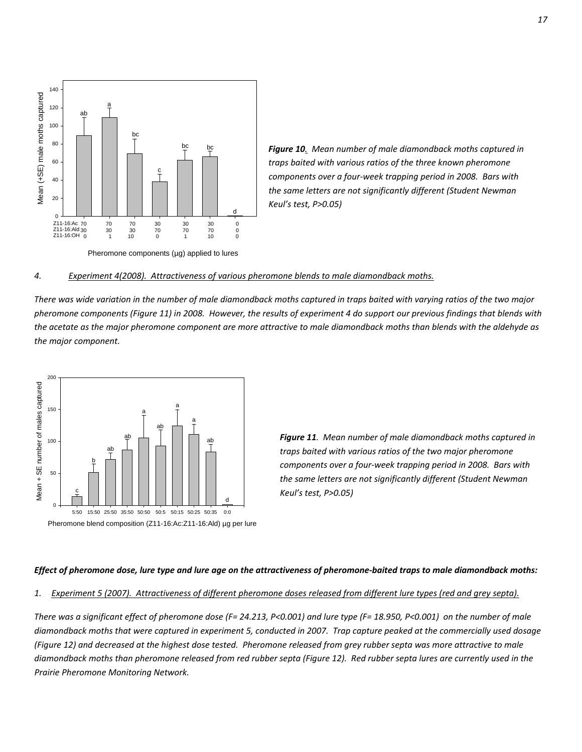

*Figure 10. Mean number of male diamondback moths captured in traps baited with various ratios of the three known pheromone components over a four‐week trapping period in 2008. Bars with the same letters are not significantly different (Student Newman Keul's test, P>0.05)*

Pheromone components (µg) applied to lures

### *4. Experiment 4(2008). Attractiveness of various pheromone blends to male diamondback moths.*

There was wide variation in the number of male diamondback moths captured in traps baited with varying ratios of the two major pheromone components (Figure 11) in 2008. However, the results of experiment 4 do support our previous findings that blends with the acetate as the major pheromone component are more attractive to male diamondback moths than blends with the aldehyde as *the major component.*



*Figure 11. Mean number of male diamondback moths captured in traps baited with various ratios of the two major pheromone components over a four‐week trapping period in 2008. Bars with the same letters are not significantly different (Student Newman Keul's test, P>0.05)*

#### Effect of pheromone dose, lure type and lure age on the attractiveness of pheromone-baited traps to male diamondback moths:

#### 1. Experiment 5 (2007). Attractiveness of different pheromone doses released from different lure types (red and grey septa).

There was a significant effect of pheromone dose (F= 24.213, P<0.001) and lure type (F= 18.950, P<0.001) on the number of male diamondback moths that were captured in experiment 5, conducted in 2007. Trap capture peaked at the commercially used dosage (Figure 12) and decreased at the highest dose tested. Pheromone released from grey rubber septa was more attractive to male diamondback moths than pheromone released from red rubber septa (Figure 12). Red rubber septa lures are currently used in the *Prairie Pheromone Monitoring Network.*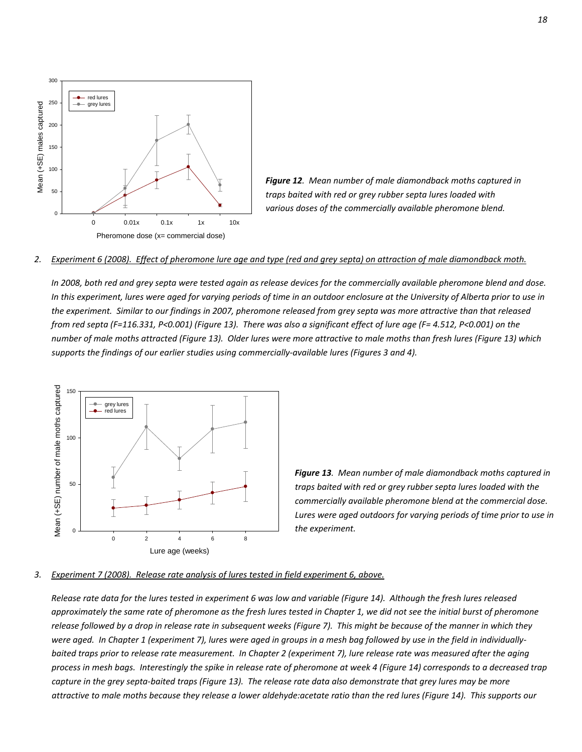

*Figure 12. Mean number of male diamondback moths captured in traps baited with red or grey rubber septa lures loaded with various doses of the commercially available pheromone blend.* 

#### 2. Experiment 6 (2008). Effect of pheromone lure age and type (red and grey septa) on attraction of male diamondback moth.

In 2008, both red and grey septa were tested again as release devices for the commercially available pheromone blend and dose. In this experiment, lures were aged for varying periods of time in an outdoor enclosure at the University of Alberta prior to use in the experiment. Similar to our findings in 2007, pheromone released from grey septa was more attractive than that released from red septa (F=116.331, P<0.001) (Figure 13). There was also a significant effect of lure age (F= 4.512, P<0.001) on the number of male moths attracted (Figure 13). Older lures were more attractive to male moths than fresh lures (Figure 13) which *supports the findings of our earlier studies using commercially‐available lures (Figures 3 and 4).*



*Figure 13. Mean number of male diamondback moths captured in traps baited with red or grey rubber septa lures loaded with the commercially available pheromone blend at the commercial dose. Lures were aged outdoors for varying periods of time prior to use in the experiment.*

#### *3. Experiment 7 (2008). Release rate analysis of lures tested in field experiment 6, above.*

Release rate data for the lures tested in experiment 6 was low and variable (Figure 14). Although the fresh lures released approximately the same rate of pheromone as the fresh lures tested in Chapter 1, we did not see the initial burst of pheromone release followed by a drop in release rate in subsequent weeks (Figure 7). This might be because of the manner in which they were aged. In Chapter 1 (experiment 7), lures were aged in groups in a mesh bag followed by use in the field in individuallybaited traps prior to release rate measurement. In Chapter 2 (experiment 7), lure release rate was measured after the aging process in mesh bags. Interestingly the spike in release rate of pheromone at week 4 (Figure 14) corresponds to a decreased trap capture in the grey septa-baited traps (Figure 13). The release rate data also demonstrate that arey lures may be more attractive to male moths because they release a lower aldehyde:acetate ratio than the red lures (Figure 14). This supports our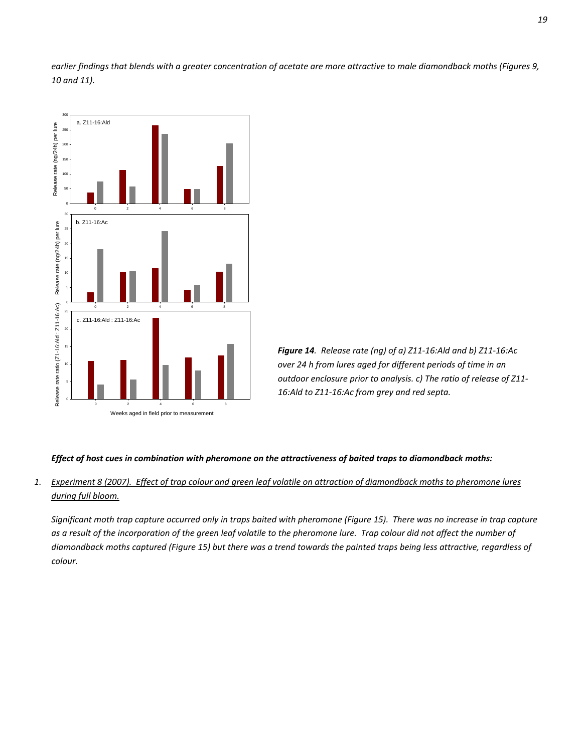earlier findings that blends with a greater concentration of acetate are more attractive to male diamondback moths (Figures 9, *10 and 11).*





### Effect of host cues in combination with pheromone on the attractiveness of baited traps to diamondback moths:

### 1. Experiment 8 (2007). Effect of trap colour and green leaf volatile on attraction of diamondback moths to pheromone lures *during full bloom.*

Significant moth trap capture occurred only in traps baited with pheromone (Figure 15). There was no increase in trap capture as a result of the incorporation of the green leaf volatile to the pheromone lure. Trap colour did not affect the number of diamondback moths captured (Figure 15) but there was a trend towards the painted traps being less attractive, regardless of *colour.*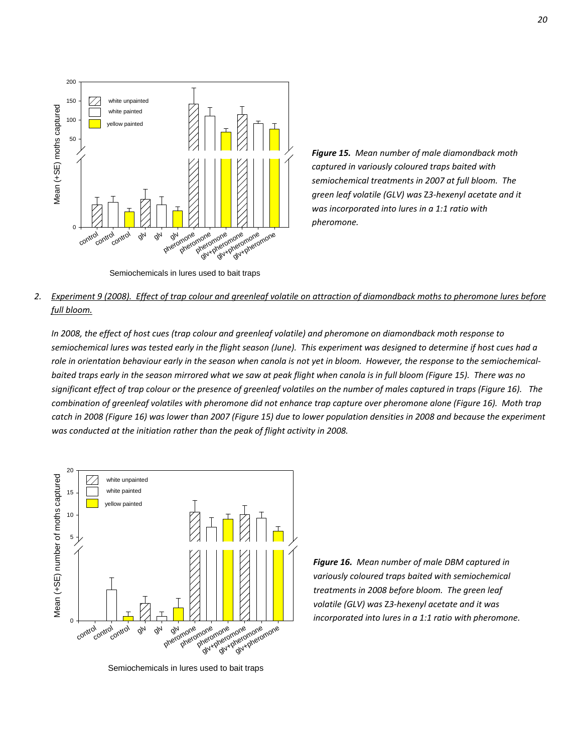

Semiochemicals in lures used to bait traps

*Figure 15. Mean number of male diamondback moth captured in variously coloured traps baited with semiochemical treatments in 2007 at full bloom. The green leaf volatile (GLV) was* Z*3‐hexenyl acetate and it was incorporated into lures in a 1:1 ratio with pheromone.* 

# 2. Experiment 9 (2008). Effect of trap colour and greenleaf volatile on attraction of diamondback moths to pheromone lures before *full bloom.*

In 2008, the effect of host cues (trap colour and greenleaf volatile) and pheromone on diamondback moth response to semiochemical lures was tested early in the flight season (June). This experiment was designed to determine if host cues had a role in orientation behaviour early in the season when canola is not yet in bloom. However, the response to the semiochemicalbaited traps early in the season mirrored what we saw at peak flight when canola is in full bloom (Figure 15). There was no significant effect of trap colour or the presence of greenleaf volatiles on the number of males captured in traps (Figure 16). The combination of greenleaf volatiles with pheromone did not enhance trap capture over pheromone alone (Figure 16). Moth trap catch in 2008 (Figure 16) was lower than 2007 (Figure 15) due to lower population densities in 2008 and because the experiment *was conducted at the initiation rather than the peak of flight activity in 2008.*



Semiochemicals in lures used to bait traps

*Figure 16. Mean number of male DBM captured in variously coloured traps baited with semiochemical treatments in 2008 before bloom. The green leaf volatile (GLV) was* Z*3‐hexenyl acetate and it was incorporated into lures in a 1:1 ratio with pheromone.*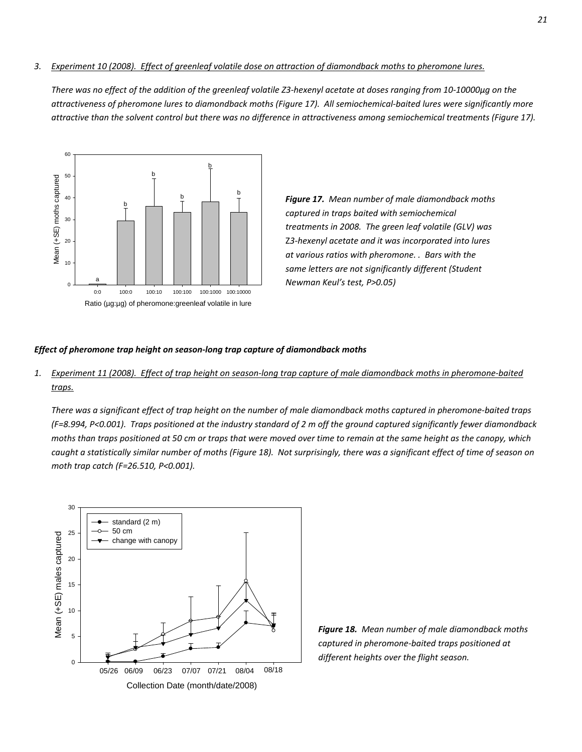### 3. Experiment 10 (2008). Effect of greenleaf volatile dose on attraction of diamondback moths to pheromone lures.

There was no effect of the addition of the greenleaf volatile Z3-hexenyl acetate at doses ranging from 10-10000µg on the attractiveness of pheromone lures to diamondback moths (Figure 17). All semiochemical-baited lures were significantly more attractive than the solvent control but there was no difference in attractiveness among semiochemical treatments (Figure 17).



<sup>b</sup> *Figure 17. Mean number of male diamondback moths captured in traps baited with semiochemical treatments in 2008. The green leaf volatile (GLV) was* Z*3‐hexenyl acetate and it was incorporated into lures at various ratios with pheromone. . Bars with the same letters are not significantly different (Student Newman Keul's test, P>0.05)*

### *Effect of pheromone trap height on season‐long trap capture of diamondback moths*

1. Experiment 11 (2008). Effect of trap height on season-long trap capture of male diamondback moths in pheromone-baited *traps.*

There was a significant effect of trap height on the number of male diamondback moths captured in pheromone-baited traps (F=8.994, P<0.001). Traps positioned at the industry standard of 2 m off the ground captured significantly fewer diamondback moths than traps positioned at 50 cm or traps that were moved over time to remain at the same height as the canopy, which caught a statistically similar number of moths (Figure 18). Not surprisingly, there was a significant effect of time of season on *moth trap catch (F=26.510, P<0.001).*



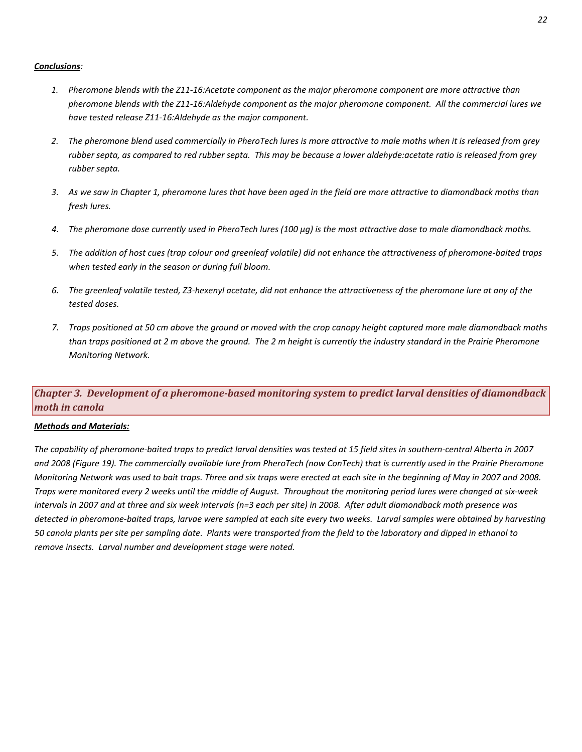### *Conclusions:*

- 1. Pheromone blends with the Z11-16:Acetate component as the major pheromone component are more attractive than pheromone blends with the Z11-16:Aldehyde component as the major pheromone component. All the commercial lures we *have tested release Z11‐16:Aldehyde as the major component.*
- 2. The pheromone blend used commercially in PheroTech lures is more attractive to male moths when it is released from grey rubber septa, as compared to red rubber septa. This may be because a lower aldehyde: acetate ratio is released from grey *rubber septa.*
- 3. As we saw in Chapter 1, pheromone lures that have been aged in the field are more attractive to diamondback moths than *fresh lures.*
- 4. The pheromone dose currently used in PheroTech lures (100 µg) is the most attractive dose to male diamondback moths.
- 5. The addition of host cues (trap colour and greenleaf volatile) did not enhance the attractiveness of pheromone-baited traps *when tested early in the season or during full bloom.*
- 6. The greenleaf volatile tested, Z3-hexenyl acetate, did not enhance the attractiveness of the pheromone lure at any of the *tested doses.*
- 7. Traps positioned at 50 cm above the ground or moved with the crop canopy height captured more male diamondback moths than traps positioned at 2 m above the ground. The 2 m height is currently the industry standard in the Prairie Pheromone *Monitoring Network.*

# *Chapter 3. Development of a pheromonebased monitoring system to predict larval densities of diamondback moth in canola*

### *Methods and Materials:*

The capability of pheromone-baited traps to predict larval densities was tested at 15 field sites in southern-central Alberta in 2007 and 2008 (Figure 19). The commercially available lure from PheroTech (now ConTech) that is currently used in the Prairie Pheromone Monitoring Network was used to bait traps. Three and six traps were erected at each site in the beginning of May in 2007 and 2008. Traps were monitored every 2 weeks until the middle of August. Throughout the monitoring period lures were changed at six-week intervals in 2007 and at three and six week intervals (n=3 each per site) in 2008. After adult diamondback moth presence was detected in pheromone-baited traps, larvae were sampled at each site every two weeks. Larval samples were obtained by harvesting 50 canola plants per site per sampling date. Plants were transported from the field to the laboratory and dipped in ethanol to *remove insects. Larval number and development stage were noted.*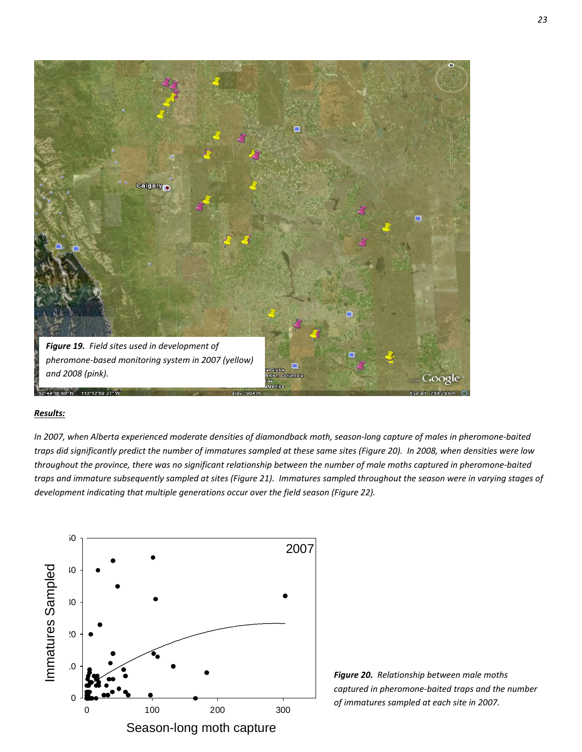

### *Results:*

In 2007, when Alberta experienced moderate densities of diamondback moth, season-long capture of males in pheromone-baited traps did significantly predict the number of immatures sampled at these same sites (Figure 20). In 2008, when densities were low throughout the province, there was no significant relationship between the number of male moths captured in pheromone-baited traps and immature subsequently sampled at sites (Figure 21). Immatures sampled throughout the season were in varying stages of *development indicating that multiple generations occur over the field season (Figure 22).*



*Figure 20. Relationship between male moths captured in pheromone‐baited traps and the number of immatures sampled at each site in 2007.*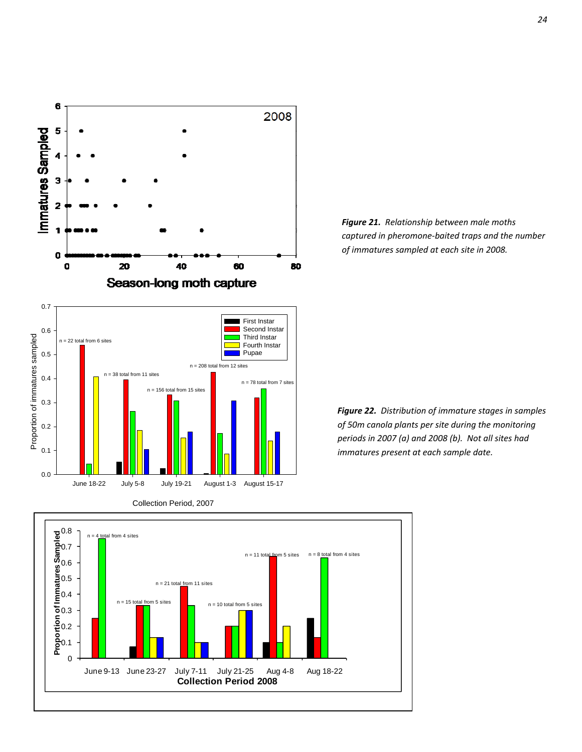



*Figure 22. Distribution of immature stages in samples of 50m canola plants per site during the monitoring periods in 2007 (a) and 2008 (b). Not all sites had immatures present at each sample date.*



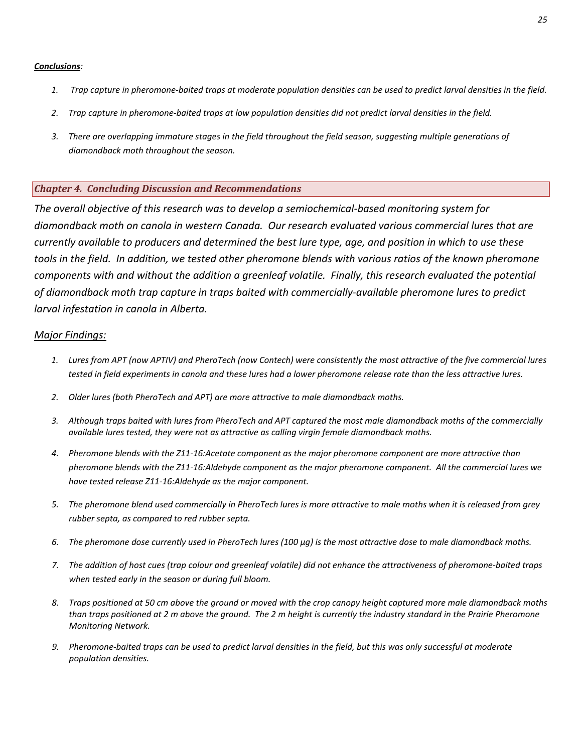### *Conclusions:*

- 1. Trap capture in pheromone-baited traps at moderate population densities can be used to predict larval densities in the field.
- 2. Trap capture in pheromone-baited traps at low population densities did not predict larval densities in the field.
- 3. There are overlapping immature stages in the field throughout the field season, suggesting multiple generations of *diamondback moth throughout the season.*

### *Chapter 4. Concluding Discussion and Recommendations*

*The overall objective of this research was to develop a semiochemical‐based monitoring system for diamondback moth on canola in western Canada. Our research evaluated various commercial lures that are* currently available to producers and determined the best lure type, age, and position in which to use these tools in the field. In addition, we tested other pheromone blends with various ratios of the known pheromone *components with and without the addition a greenleaf volatile. Finally, this research evaluated the potential of diamondback moth trap capture in traps baited with commercially‐available pheromone lures to predict larval infestation in canola in Alberta.*

### *Major Findings:*

- 1. Lures from APT (now APTIV) and PheroTech (now Contech) were consistently the most attractive of the five commercial lures tested in field experiments in canola and these lures had a lower pheromone release rate than the less attractive lures.
- *2. Older lures (both PheroTech and APT) are more attractive to male diamondback moths.*
- 3. Although traps baited with lures from PheroTech and APT captured the most male diamondback moths of the commercially *available lures tested, they were not as attractive as calling virgin female diamondback moths.*
- 4. Pheromone blends with the Z11-16:Acetate component as the major pheromone component are more attractive than pheromone blends with the Z11-16:Aldehyde component as the major pheromone component. All the commercial lures we *have tested release Z11‐16:Aldehyde as the major component.*
- 5. The pheromone blend used commercially in PheroTech lures is more attractive to male moths when it is released from grey *rubber septa, as compared to red rubber septa.*
- 6. The pheromone dose currently used in PheroTech lures (100 µg) is the most attractive dose to male diamondback moths.
- 7. The addition of host cues (trap colour and greenleaf volatile) did not enhance the attractiveness of pheromone-baited traps *when tested early in the season or during full bloom.*
- 8. Traps positioned at 50 cm above the ground or moved with the crop canopy height captured more male diamondback moths than traps positioned at 2 m above the ground. The 2 m height is currently the industry standard in the Prairie Pheromone *Monitoring Network.*
- 9. Pheromone-baited traps can be used to predict larval densities in the field, but this was only successful at moderate *population densities.*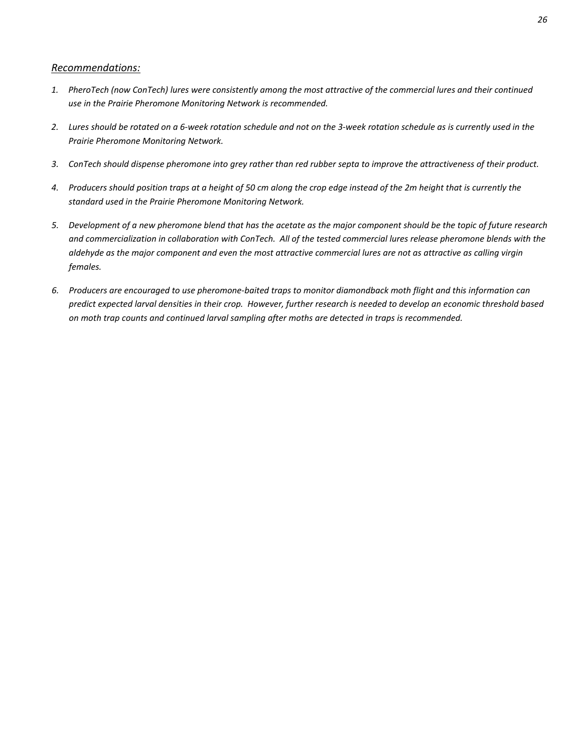### *Recommendations:*

- 1. PheroTech (now ConTech) lures were consistently among the most attractive of the commercial lures and their continued *use in the Prairie Pheromone Monitoring Network is recommended.*
- 2. Lures should be rotated on a 6-week rotation schedule and not on the 3-week rotation schedule as is currently used in the *Prairie Pheromone Monitoring Network.*
- 3. ConTech should dispense pheromone into grey rather than red rubber septa to improve the attractiveness of their product.
- 4. Producers should position traps at a height of 50 cm along the crop edge instead of the 2m height that is currently the *standard used in the Prairie Pheromone Monitoring Network.*
- 5. Development of a new pheromone blend that has the acetate as the major component should be the topic of future research and commercialization in collaboration with ConTech. All of the tested commercial lures release pheromone blends with the aldehyde as the major component and even the most attractive commercial lures are not as attractive as calling virgin *females.*
- 6. Producers are encouraged to use pheromone-baited traps to monitor diamondback moth flight and this information can predict expected larval densities in their crop. However, further research is needed to develop an economic threshold based *on moth trap counts and continued larval sampling after moths are detected in traps is recommended.*